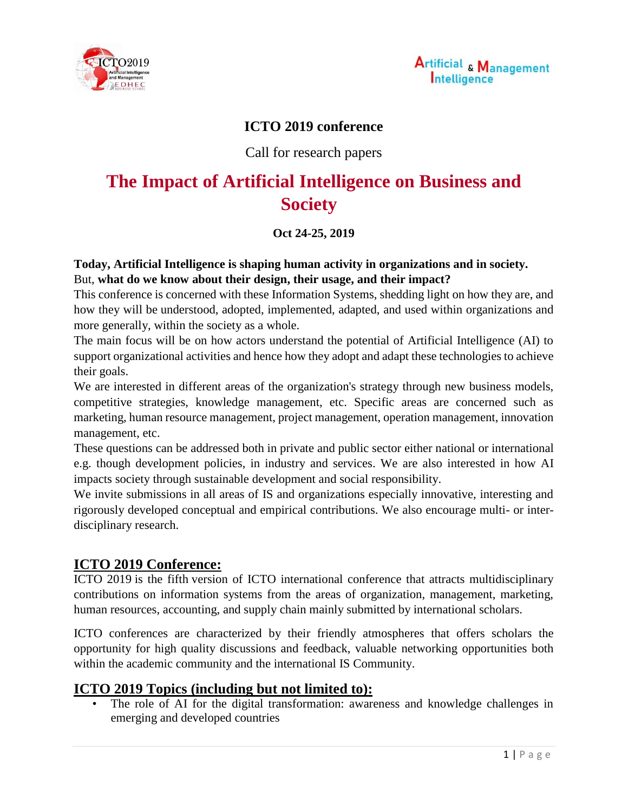



## **ICTO 2019 conference**

## Call for research papers

# **The Impact of Artificial Intelligence on Business and Society**

#### **Oct 24-25, 2019**

#### **Today, Artificial Intelligence is shaping human activity in organizations and in society.** But, **what do we know about their design, their usage, and their impact?**

This conference is concerned with these Information Systems, shedding light on how they are, and how they will be understood, adopted, implemented, adapted, and used within organizations and more generally, within the society as a whole.

The main focus will be on how actors understand the potential of Artificial Intelligence (AI) to support organizational activities and hence how they adopt and adapt these technologies to achieve their goals.

We are interested in different areas of the organization's strategy through new business models, competitive strategies, knowledge management, etc. Specific areas are concerned such as marketing, human resource management, project management, operation management, innovation management, etc.

These questions can be addressed both in private and public sector either national or international e.g. though development policies, in industry and services. We are also interested in how AI impacts society through sustainable development and social responsibility.

We invite submissions in all areas of IS and organizations especially innovative, interesting and rigorously developed conceptual and empirical contributions. We also encourage multi- or interdisciplinary research.

## **ICTO 2019 Conference:**

ICTO 2019 is the fifth version of ICTO international conference that attracts multidisciplinary contributions on information systems from the areas of organization, management, marketing, human resources, accounting, and supply chain mainly submitted by international scholars.

ICTO conferences are characterized by their friendly atmospheres that offers scholars the opportunity for high quality discussions and feedback, valuable networking opportunities both within the academic community and the international IS Community.

## **ICTO 2019 Topics (including but not limited to):**

The role of AI for the digital transformation: awareness and knowledge challenges in emerging and developed countries